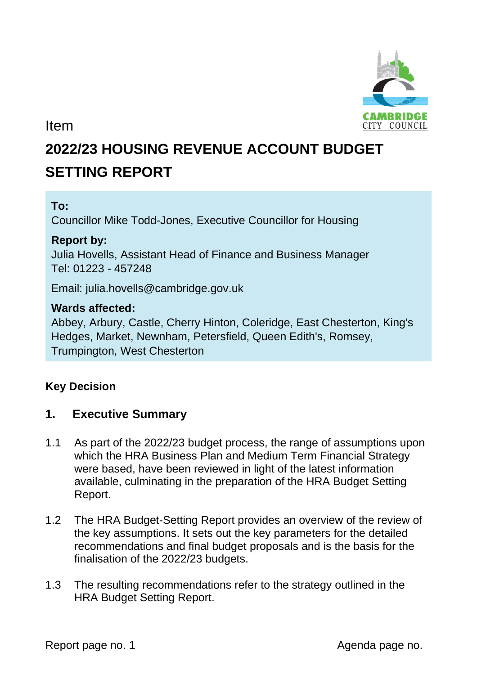

Item

# **2022/23 HOUSING REVENUE ACCOUNT BUDGET SETTING REPORT**

# **To:**

Councillor Mike Todd-Jones, Executive Councillor for Housing

## **Report by:**

Julia Hovells, Assistant Head of Finance and Business Manager Tel: 01223 - 457248

Email: julia.hovells@cambridge.gov.uk

## **Wards affected:**

Abbey, Arbury, Castle, Cherry Hinton, Coleridge, East Chesterton, King's Hedges, Market, Newnham, Petersfield, Queen Edith's, Romsey, Trumpington, West Chesterton

# **Key Decision**

# **1. Executive Summary**

- 1.1 As part of the 2022/23 budget process, the range of assumptions upon which the HRA Business Plan and Medium Term Financial Strategy were based, have been reviewed in light of the latest information available, culminating in the preparation of the HRA Budget Setting Report.
- 1.2 The HRA Budget-Setting Report provides an overview of the review of the key assumptions. It sets out the key parameters for the detailed recommendations and final budget proposals and is the basis for the finalisation of the 2022/23 budgets.
- 1.3 The resulting recommendations refer to the strategy outlined in the HRA Budget Setting Report.

Report page no. 1 and 1 and 2 and 2 and 2 and 2 and 2 and 2 and 2 and 2 and 2 and 2 and 2 and 2 and 2 and 2 and 2 and 2 and 2 and 2 and 2 and 2 and 2 and 2 and 2 and 2 and 2 and 2 and 2 and 2 and 2 and 2 and 2 and 2 and 2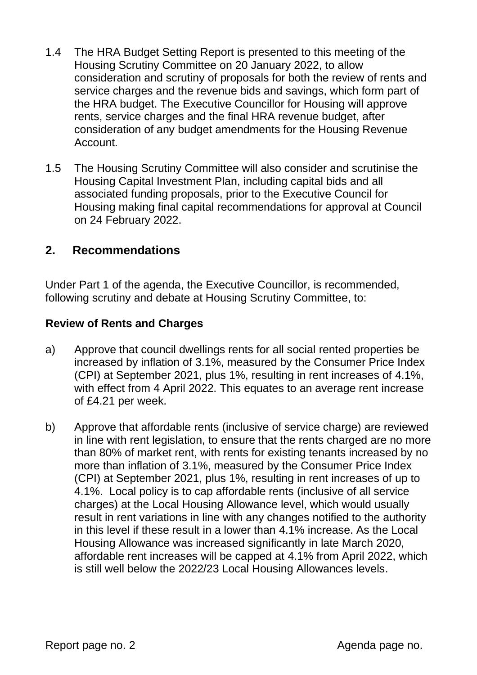- 1.4 The HRA Budget Setting Report is presented to this meeting of the Housing Scrutiny Committee on 20 January 2022, to allow consideration and scrutiny of proposals for both the review of rents and service charges and the revenue bids and savings, which form part of the HRA budget. The Executive Councillor for Housing will approve rents, service charges and the final HRA revenue budget, after consideration of any budget amendments for the Housing Revenue Account.
- 1.5 The Housing Scrutiny Committee will also consider and scrutinise the Housing Capital Investment Plan, including capital bids and all associated funding proposals, prior to the Executive Council for Housing making final capital recommendations for approval at Council on 24 February 2022.

# **2. Recommendations**

Under Part 1 of the agenda, the Executive Councillor, is recommended, following scrutiny and debate at Housing Scrutiny Committee, to:

## **Review of Rents and Charges**

- a) Approve that council dwellings rents for all social rented properties be increased by inflation of 3.1%, measured by the Consumer Price Index (CPI) at September 2021, plus 1%, resulting in rent increases of 4.1%, with effect from 4 April 2022. This equates to an average rent increase of £4.21 per week.
- b) Approve that affordable rents (inclusive of service charge) are reviewed in line with rent legislation, to ensure that the rents charged are no more than 80% of market rent, with rents for existing tenants increased by no more than inflation of 3.1%, measured by the Consumer Price Index (CPI) at September 2021, plus 1%, resulting in rent increases of up to 4.1%. Local policy is to cap affordable rents (inclusive of all service charges) at the Local Housing Allowance level, which would usually result in rent variations in line with any changes notified to the authority in this level if these result in a lower than 4.1% increase. As the Local Housing Allowance was increased significantly in late March 2020, affordable rent increases will be capped at 4.1% from April 2022, which is still well below the 2022/23 Local Housing Allowances levels.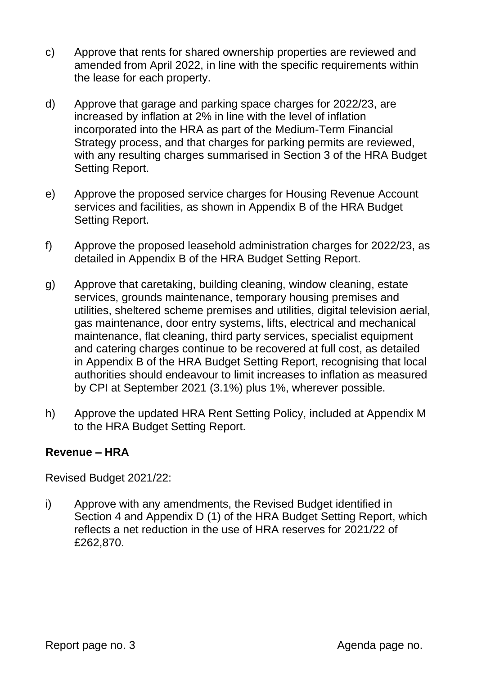- c) Approve that rents for shared ownership properties are reviewed and amended from April 2022, in line with the specific requirements within the lease for each property.
- d) Approve that garage and parking space charges for 2022/23, are increased by inflation at 2% in line with the level of inflation incorporated into the HRA as part of the Medium-Term Financial Strategy process, and that charges for parking permits are reviewed, with any resulting charges summarised in Section 3 of the HRA Budget Setting Report.
- e) Approve the proposed service charges for Housing Revenue Account services and facilities, as shown in Appendix B of the HRA Budget Setting Report.
- f) Approve the proposed leasehold administration charges for 2022/23, as detailed in Appendix B of the HRA Budget Setting Report.
- g) Approve that caretaking, building cleaning, window cleaning, estate services, grounds maintenance, temporary housing premises and utilities, sheltered scheme premises and utilities, digital television aerial, gas maintenance, door entry systems, lifts, electrical and mechanical maintenance, flat cleaning, third party services, specialist equipment and catering charges continue to be recovered at full cost, as detailed in Appendix B of the HRA Budget Setting Report, recognising that local authorities should endeavour to limit increases to inflation as measured by CPI at September 2021 (3.1%) plus 1%, wherever possible.
- h) Approve the updated HRA Rent Setting Policy, included at Appendix M to the HRA Budget Setting Report.

## **Revenue – HRA**

Revised Budget 2021/22:

i) Approve with any amendments, the Revised Budget identified in Section 4 and Appendix D (1) of the HRA Budget Setting Report, which reflects a net reduction in the use of HRA reserves for 2021/22 of £262,870.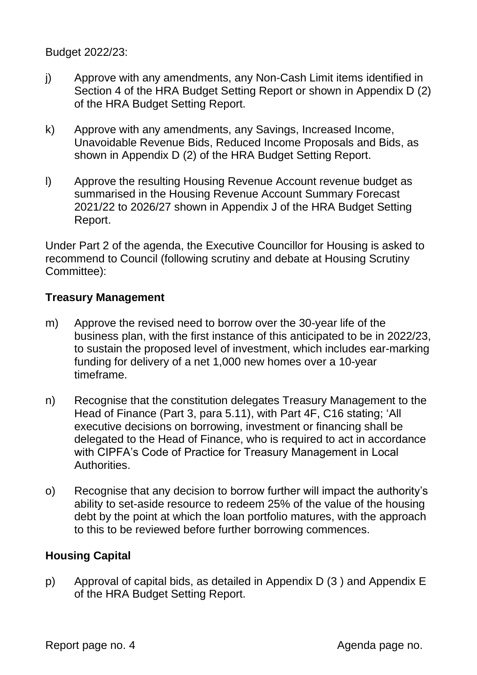Budget 2022/23:

- j) Approve with any amendments, any Non-Cash Limit items identified in Section 4 of the HRA Budget Setting Report or shown in Appendix D (2) of the HRA Budget Setting Report.
- k) Approve with any amendments, any Savings, Increased Income, Unavoidable Revenue Bids, Reduced Income Proposals and Bids, as shown in Appendix D (2) of the HRA Budget Setting Report.
- l) Approve the resulting Housing Revenue Account revenue budget as summarised in the Housing Revenue Account Summary Forecast 2021/22 to 2026/27 shown in Appendix J of the HRA Budget Setting Report.

Under Part 2 of the agenda, the Executive Councillor for Housing is asked to recommend to Council (following scrutiny and debate at Housing Scrutiny Committee):

## **Treasury Management**

- m) Approve the revised need to borrow over the 30-year life of the business plan, with the first instance of this anticipated to be in 2022/23, to sustain the proposed level of investment, which includes ear-marking funding for delivery of a net 1,000 new homes over a 10-year timeframe.
- n) Recognise that the constitution delegates Treasury Management to the Head of Finance (Part 3, para 5.11), with Part 4F, C16 stating; 'All executive decisions on borrowing, investment or financing shall be delegated to the Head of Finance, who is required to act in accordance with CIPFA's Code of Practice for Treasury Management in Local Authorities.
- o) Recognise that any decision to borrow further will impact the authority's ability to set-aside resource to redeem 25% of the value of the housing debt by the point at which the loan portfolio matures, with the approach to this to be reviewed before further borrowing commences.

# **Housing Capital**

p) Approval of capital bids, as detailed in Appendix D (3 ) and Appendix E of the HRA Budget Setting Report.

Report page no. 4 Agenda page no.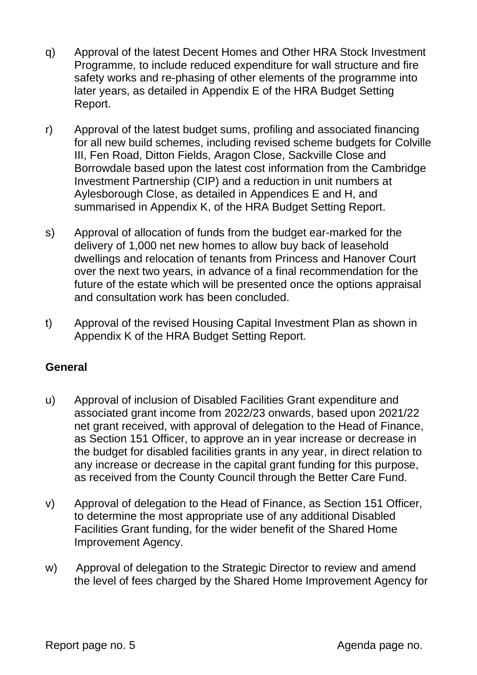- q) Approval of the latest Decent Homes and Other HRA Stock Investment Programme, to include reduced expenditure for wall structure and fire safety works and re-phasing of other elements of the programme into later years, as detailed in Appendix E of the HRA Budget Setting Report.
- r) Approval of the latest budget sums, profiling and associated financing for all new build schemes, including revised scheme budgets for Colville III, Fen Road, Ditton Fields, Aragon Close, Sackville Close and Borrowdale based upon the latest cost information from the Cambridge Investment Partnership (CIP) and a reduction in unit numbers at Aylesborough Close, as detailed in Appendices E and H, and summarised in Appendix K, of the HRA Budget Setting Report.
- s) Approval of allocation of funds from the budget ear-marked for the delivery of 1,000 net new homes to allow buy back of leasehold dwellings and relocation of tenants from Princess and Hanover Court over the next two years, in advance of a final recommendation for the future of the estate which will be presented once the options appraisal and consultation work has been concluded.
- t) Approval of the revised Housing Capital Investment Plan as shown in Appendix K of the HRA Budget Setting Report.

## **General**

- u) Approval of inclusion of Disabled Facilities Grant expenditure and associated grant income from 2022/23 onwards, based upon 2021/22 net grant received, with approval of delegation to the Head of Finance, as Section 151 Officer, to approve an in year increase or decrease in the budget for disabled facilities grants in any year, in direct relation to any increase or decrease in the capital grant funding for this purpose, as received from the County Council through the Better Care Fund.
- v) Approval of delegation to the Head of Finance, as Section 151 Officer, to determine the most appropriate use of any additional Disabled Facilities Grant funding, for the wider benefit of the Shared Home Improvement Agency.
- w) Approval of delegation to the Strategic Director to review and amend the level of fees charged by the Shared Home Improvement Agency for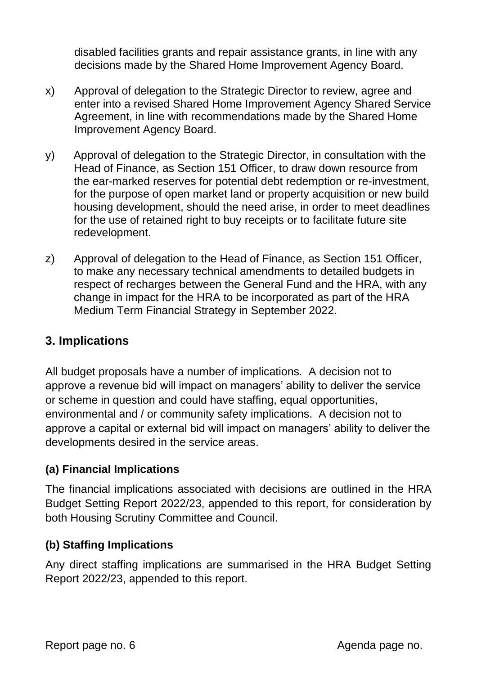disabled facilities grants and repair assistance grants, in line with any decisions made by the Shared Home Improvement Agency Board.

- x) Approval of delegation to the Strategic Director to review, agree and enter into a revised Shared Home Improvement Agency Shared Service Agreement, in line with recommendations made by the Shared Home Improvement Agency Board.
- y) Approval of delegation to the Strategic Director, in consultation with the Head of Finance, as Section 151 Officer, to draw down resource from the ear-marked reserves for potential debt redemption or re-investment, for the purpose of open market land or property acquisition or new build housing development, should the need arise, in order to meet deadlines for the use of retained right to buy receipts or to facilitate future site redevelopment.
- z) Approval of delegation to the Head of Finance, as Section 151 Officer, to make any necessary technical amendments to detailed budgets in respect of recharges between the General Fund and the HRA, with any change in impact for the HRA to be incorporated as part of the HRA Medium Term Financial Strategy in September 2022.

# **3. Implications**

All budget proposals have a number of implications. A decision not to approve a revenue bid will impact on managers' ability to deliver the service or scheme in question and could have staffing, equal opportunities, environmental and / or community safety implications. A decision not to approve a capital or external bid will impact on managers' ability to deliver the developments desired in the service areas.

# **(a) Financial Implications**

The financial implications associated with decisions are outlined in the HRA Budget Setting Report 2022/23, appended to this report, for consideration by both Housing Scrutiny Committee and Council.

# **(b) Staffing Implications**

Any direct staffing implications are summarised in the HRA Budget Setting Report 2022/23, appended to this report.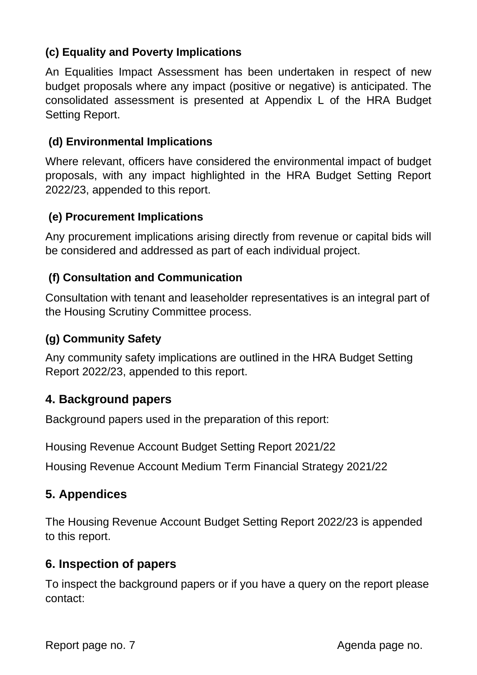# **(c) Equality and Poverty Implications**

An Equalities Impact Assessment has been undertaken in respect of new budget proposals where any impact (positive or negative) is anticipated. The consolidated assessment is presented at Appendix L of the HRA Budget Setting Report.

## **(d) Environmental Implications**

Where relevant, officers have considered the environmental impact of budget proposals, with any impact highlighted in the HRA Budget Setting Report 2022/23, appended to this report.

## **(e) Procurement Implications**

Any procurement implications arising directly from revenue or capital bids will be considered and addressed as part of each individual project.

## **(f) Consultation and Communication**

Consultation with tenant and leaseholder representatives is an integral part of the Housing Scrutiny Committee process.

## **(g) Community Safety**

Any community safety implications are outlined in the HRA Budget Setting Report 2022/23, appended to this report.

# **4. Background papers**

Background papers used in the preparation of this report:

Housing Revenue Account Budget Setting Report 2021/22

Housing Revenue Account Medium Term Financial Strategy 2021/22

# **5. Appendices**

The Housing Revenue Account Budget Setting Report 2022/23 is appended to this report.

## **6. Inspection of papers**

To inspect the background papers or if you have a query on the report please contact: